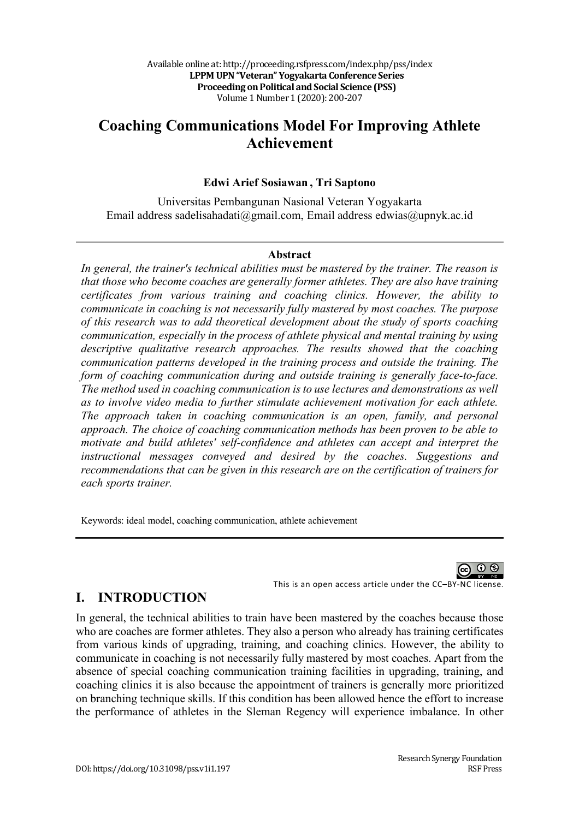Available online at: http://proceeding.rsfpress.com/index.php/pss/index **LPPM UPN "Veteran" Yogyakarta Conference Series Proceeding on Political and Social Science (PSS)** Volume 1 Number 1 (2020): 200-207

# **Coaching Communications Model For Improving Athlete Achievement**

#### **Edwi Arief Sosiawan , Tri Saptono**

Universitas Pembangunan Nasional Veteran Yogyakarta Email address sadelisahadati@gmail.com, Email address edwias@upnyk.ac.id

#### **Abstract**

*In general, the trainer's technical abilities must be mastered by the trainer. The reason is that those who become coaches are generally former athletes. They are also have training certificates from various training and coaching clinics. However, the ability to communicate in coaching is not necessarily fully mastered by most coaches. The purpose of this research was to add theoretical development about the study of sports coaching communication, especially in the process of athlete physical and mental training by using descriptive qualitative research approaches. The results showed that the coaching communication patterns developed in the training process and outside the training. The form of coaching communication during and outside training is generally face-to-face. The method used in coaching communication is to use lectures and demonstrations as well as to involve video media to further stimulate achievement motivation for each athlete. The approach taken in coaching communication is an open, family, and personal approach. The choice of coaching communication methods has been proven to be able to motivate and build athletes' self-confidence and athletes can accept and interpret the instructional messages conveyed and desired by the coaches. Suggestions and recommendations that can be given in this research are on the certification of trainers for each sports trainer.*

Keywords: ideal model, coaching communication, athlete achievement



This is an open access article under the CC–BY-NC license.

### **I. INTRODUCTION**

In general, the technical abilities to train have been mastered by the coaches because those who are coaches are former athletes. They also a person who already has training certificates from various kinds of upgrading, training, and coaching clinics. However, the ability to communicate in coaching is not necessarily fully mastered by most coaches. Apart from the absence of special coaching communication training facilities in upgrading, training, and coaching clinics it is also because the appointment of trainers is generally more prioritized on branching technique skills. If this condition has been allowed hence the effort to increase the performance of athletes in the Sleman Regency will experience imbalance. In other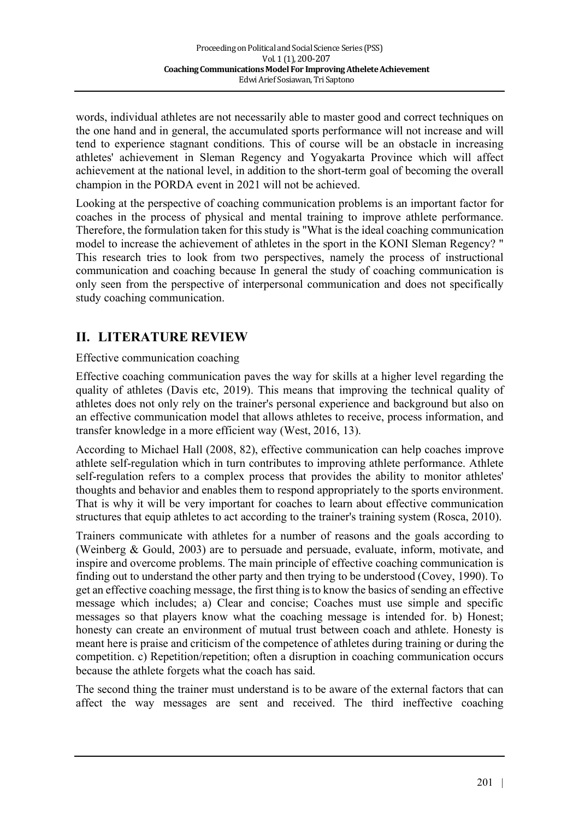words, individual athletes are not necessarily able to master good and correct techniques on the one hand and in general, the accumulated sports performance will not increase and will tend to experience stagnant conditions. This of course will be an obstacle in increasing athletes' achievement in Sleman Regency and Yogyakarta Province which will affect achievement at the national level, in addition to the short-term goal of becoming the overall champion in the PORDA event in 2021 will not be achieved.

Looking at the perspective of coaching communication problems is an important factor for coaches in the process of physical and mental training to improve athlete performance. Therefore, the formulation taken for this study is "What is the ideal coaching communication model to increase the achievement of athletes in the sport in the KONI Sleman Regency? " This research tries to look from two perspectives, namely the process of instructional communication and coaching because In general the study of coaching communication is only seen from the perspective of interpersonal communication and does not specifically study coaching communication.

### **II. LITERATURE REVIEW**

### Effective communication coaching

Effective coaching communication paves the way for skills at a higher level regarding the quality of athletes (Davis etc, 2019). This means that improving the technical quality of athletes does not only rely on the trainer's personal experience and background but also on an effective communication model that allows athletes to receive, process information, and transfer knowledge in a more efficient way (West, 2016, 13).

According to Michael Hall (2008, 82), effective communication can help coaches improve athlete self-regulation which in turn contributes to improving athlete performance. Athlete self-regulation refers to a complex process that provides the ability to monitor athletes' thoughts and behavior and enables them to respond appropriately to the sports environment. That is why it will be very important for coaches to learn about effective communication structures that equip athletes to act according to the trainer's training system (Rosca, 2010).

Trainers communicate with athletes for a number of reasons and the goals according to (Weinberg & Gould, 2003) are to persuade and persuade, evaluate, inform, motivate, and inspire and overcome problems. The main principle of effective coaching communication is finding out to understand the other party and then trying to be understood (Covey, 1990). To get an effective coaching message, the first thing is to know the basics of sending an effective message which includes; a) Clear and concise; Coaches must use simple and specific messages so that players know what the coaching message is intended for. b) Honest; honesty can create an environment of mutual trust between coach and athlete. Honesty is meant here is praise and criticism of the competence of athletes during training or during the competition. c) Repetition/repetition; often a disruption in coaching communication occurs because the athlete forgets what the coach has said.

The second thing the trainer must understand is to be aware of the external factors that can affect the way messages are sent and received. The third ineffective coaching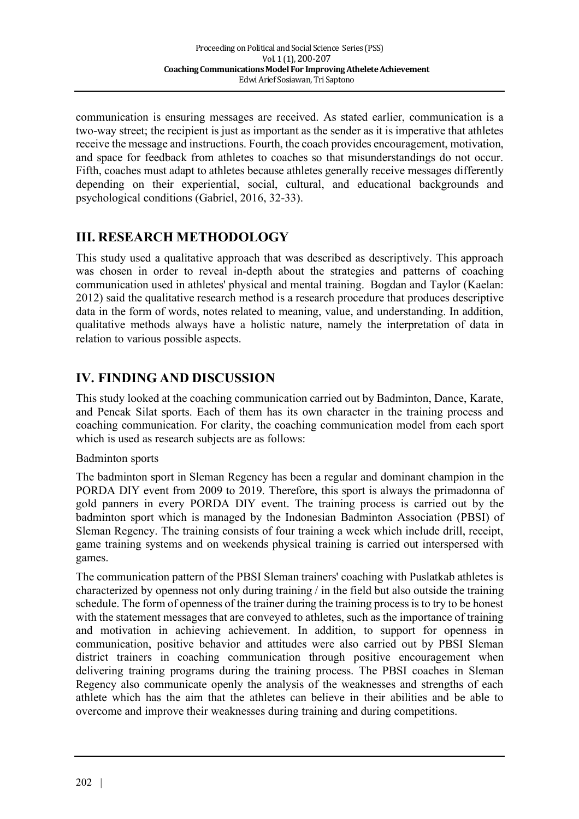communication is ensuring messages are received. As stated earlier, communication is a two-way street; the recipient is just as important as the sender as it is imperative that athletes receive the message and instructions. Fourth, the coach provides encouragement, motivation, and space for feedback from athletes to coaches so that misunderstandings do not occur. Fifth, coaches must adapt to athletes because athletes generally receive messages differently depending on their experiential, social, cultural, and educational backgrounds and psychological conditions (Gabriel, 2016, 32-33).

## **III. RESEARCH METHODOLOGY**

This study used a qualitative approach that was described as descriptively. This approach was chosen in order to reveal in-depth about the strategies and patterns of coaching communication used in athletes' physical and mental training. Bogdan and Taylor (Kaelan: 2012) said the qualitative research method is a research procedure that produces descriptive data in the form of words, notes related to meaning, value, and understanding. In addition, qualitative methods always have a holistic nature, namely the interpretation of data in relation to various possible aspects.

## **IV. FINDING AND DISCUSSION**

This study looked at the coaching communication carried out by Badminton, Dance, Karate, and Pencak Silat sports. Each of them has its own character in the training process and coaching communication. For clarity, the coaching communication model from each sport which is used as research subjects are as follows:

#### Badminton sports

The badminton sport in Sleman Regency has been a regular and dominant champion in the PORDA DIY event from 2009 to 2019. Therefore, this sport is always the primadonna of gold panners in every PORDA DIY event. The training process is carried out by the badminton sport which is managed by the Indonesian Badminton Association (PBSI) of Sleman Regency. The training consists of four training a week which include drill, receipt, game training systems and on weekends physical training is carried out interspersed with games.

The communication pattern of the PBSI Sleman trainers' coaching with Puslatkab athletes is characterized by openness not only during training / in the field but also outside the training schedule. The form of openness of the trainer during the training process is to try to be honest with the statement messages that are conveyed to athletes, such as the importance of training and motivation in achieving achievement. In addition, to support for openness in communication, positive behavior and attitudes were also carried out by PBSI Sleman district trainers in coaching communication through positive encouragement when delivering training programs during the training process. The PBSI coaches in Sleman Regency also communicate openly the analysis of the weaknesses and strengths of each athlete which has the aim that the athletes can believe in their abilities and be able to overcome and improve their weaknesses during training and during competitions.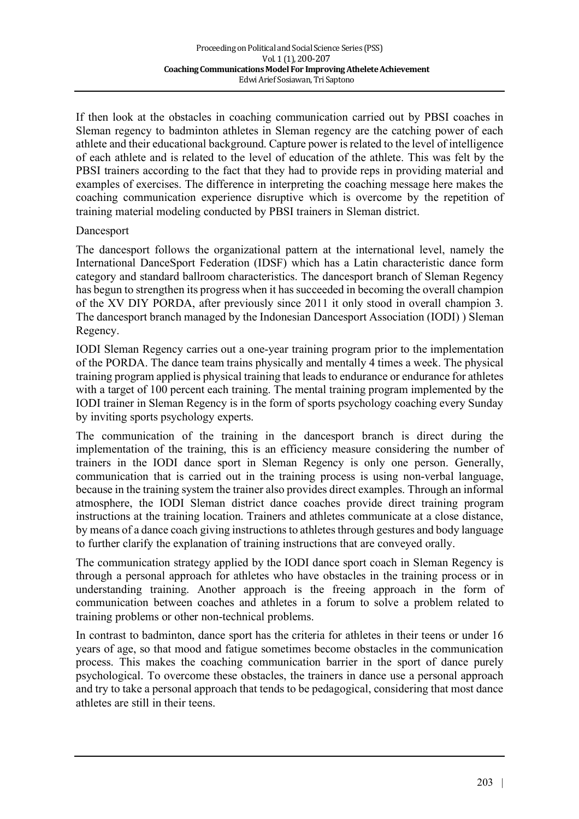If then look at the obstacles in coaching communication carried out by PBSI coaches in Sleman regency to badminton athletes in Sleman regency are the catching power of each athlete and their educational background. Capture power is related to the level of intelligence of each athlete and is related to the level of education of the athlete. This was felt by the PBSI trainers according to the fact that they had to provide reps in providing material and examples of exercises. The difference in interpreting the coaching message here makes the coaching communication experience disruptive which is overcome by the repetition of training material modeling conducted by PBSI trainers in Sleman district.

#### Dancesport

The dancesport follows the organizational pattern at the international level, namely the International DanceSport Federation (IDSF) which has a Latin characteristic dance form category and standard ballroom characteristics. The dancesport branch of Sleman Regency has begun to strengthen its progress when it has succeeded in becoming the overall champion of the XV DIY PORDA, after previously since 2011 it only stood in overall champion 3. The dancesport branch managed by the Indonesian Dancesport Association (IODI) ) Sleman Regency.

IODI Sleman Regency carries out a one-year training program prior to the implementation of the PORDA. The dance team trains physically and mentally 4 times a week. The physical training program applied is physical training that leads to endurance or endurance for athletes with a target of 100 percent each training. The mental training program implemented by the IODI trainer in Sleman Regency is in the form of sports psychology coaching every Sunday by inviting sports psychology experts.

The communication of the training in the dancesport branch is direct during the implementation of the training, this is an efficiency measure considering the number of trainers in the IODI dance sport in Sleman Regency is only one person. Generally, communication that is carried out in the training process is using non-verbal language, because in the training system the trainer also provides direct examples. Through an informal atmosphere, the IODI Sleman district dance coaches provide direct training program instructions at the training location. Trainers and athletes communicate at a close distance, by means of a dance coach giving instructions to athletes through gestures and body language to further clarify the explanation of training instructions that are conveyed orally.

The communication strategy applied by the IODI dance sport coach in Sleman Regency is through a personal approach for athletes who have obstacles in the training process or in understanding training. Another approach is the freeing approach in the form of communication between coaches and athletes in a forum to solve a problem related to training problems or other non-technical problems.

In contrast to badminton, dance sport has the criteria for athletes in their teens or under 16 years of age, so that mood and fatigue sometimes become obstacles in the communication process. This makes the coaching communication barrier in the sport of dance purely psychological. To overcome these obstacles, the trainers in dance use a personal approach and try to take a personal approach that tends to be pedagogical, considering that most dance athletes are still in their teens.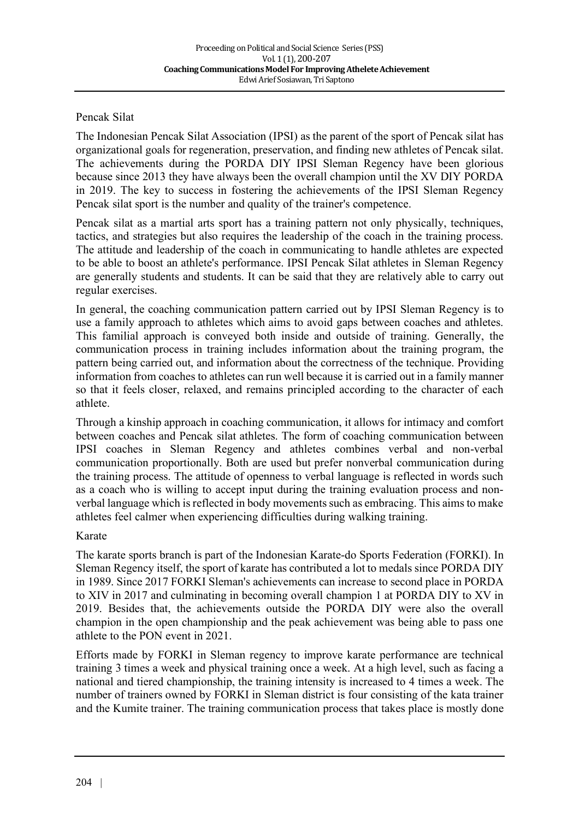#### Pencak Silat

The Indonesian Pencak Silat Association (IPSI) as the parent of the sport of Pencak silat has organizational goals for regeneration, preservation, and finding new athletes of Pencak silat. The achievements during the PORDA DIY IPSI Sleman Regency have been glorious because since 2013 they have always been the overall champion until the XV DIY PORDA in 2019. The key to success in fostering the achievements of the IPSI Sleman Regency Pencak silat sport is the number and quality of the trainer's competence.

Pencak silat as a martial arts sport has a training pattern not only physically, techniques, tactics, and strategies but also requires the leadership of the coach in the training process. The attitude and leadership of the coach in communicating to handle athletes are expected to be able to boost an athlete's performance. IPSI Pencak Silat athletes in Sleman Regency are generally students and students. It can be said that they are relatively able to carry out regular exercises.

In general, the coaching communication pattern carried out by IPSI Sleman Regency is to use a family approach to athletes which aims to avoid gaps between coaches and athletes. This familial approach is conveyed both inside and outside of training. Generally, the communication process in training includes information about the training program, the pattern being carried out, and information about the correctness of the technique. Providing information from coaches to athletes can run well because it is carried out in a family manner so that it feels closer, relaxed, and remains principled according to the character of each athlete.

Through a kinship approach in coaching communication, it allows for intimacy and comfort between coaches and Pencak silat athletes. The form of coaching communication between IPSI coaches in Sleman Regency and athletes combines verbal and non-verbal communication proportionally. Both are used but prefer nonverbal communication during the training process. The attitude of openness to verbal language is reflected in words such as a coach who is willing to accept input during the training evaluation process and nonverbal language which is reflected in body movements such as embracing. This aims to make athletes feel calmer when experiencing difficulties during walking training.

#### Karate

The karate sports branch is part of the Indonesian Karate-do Sports Federation (FORKI). In Sleman Regency itself, the sport of karate has contributed a lot to medals since PORDA DIY in 1989. Since 2017 FORKI Sleman's achievements can increase to second place in PORDA to XIV in 2017 and culminating in becoming overall champion 1 at PORDA DIY to XV in 2019. Besides that, the achievements outside the PORDA DIY were also the overall champion in the open championship and the peak achievement was being able to pass one athlete to the PON event in 2021.

Efforts made by FORKI in Sleman regency to improve karate performance are technical training 3 times a week and physical training once a week. At a high level, such as facing a national and tiered championship, the training intensity is increased to 4 times a week. The number of trainers owned by FORKI in Sleman district is four consisting of the kata trainer and the Kumite trainer. The training communication process that takes place is mostly done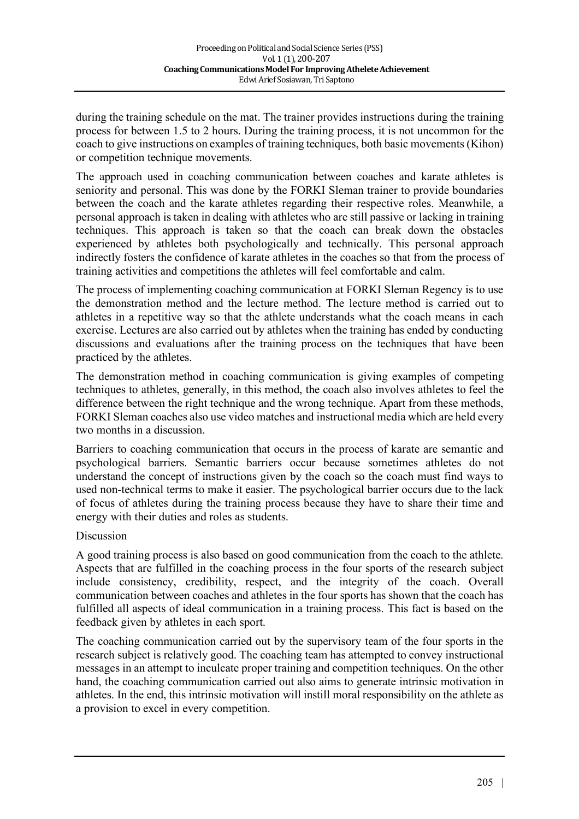during the training schedule on the mat. The trainer provides instructions during the training process for between 1.5 to 2 hours. During the training process, it is not uncommon for the coach to give instructions on examples of training techniques, both basic movements (Kihon) or competition technique movements.

The approach used in coaching communication between coaches and karate athletes is seniority and personal. This was done by the FORKI Sleman trainer to provide boundaries between the coach and the karate athletes regarding their respective roles. Meanwhile, a personal approach is taken in dealing with athletes who are still passive or lacking in training techniques. This approach is taken so that the coach can break down the obstacles experienced by athletes both psychologically and technically. This personal approach indirectly fosters the confidence of karate athletes in the coaches so that from the process of training activities and competitions the athletes will feel comfortable and calm.

The process of implementing coaching communication at FORKI Sleman Regency is to use the demonstration method and the lecture method. The lecture method is carried out to athletes in a repetitive way so that the athlete understands what the coach means in each exercise. Lectures are also carried out by athletes when the training has ended by conducting discussions and evaluations after the training process on the techniques that have been practiced by the athletes.

The demonstration method in coaching communication is giving examples of competing techniques to athletes, generally, in this method, the coach also involves athletes to feel the difference between the right technique and the wrong technique. Apart from these methods, FORKI Sleman coaches also use video matches and instructional media which are held every two months in a discussion.

Barriers to coaching communication that occurs in the process of karate are semantic and psychological barriers. Semantic barriers occur because sometimes athletes do not understand the concept of instructions given by the coach so the coach must find ways to used non-technical terms to make it easier. The psychological barrier occurs due to the lack of focus of athletes during the training process because they have to share their time and energy with their duties and roles as students.

#### Discussion

A good training process is also based on good communication from the coach to the athlete. Aspects that are fulfilled in the coaching process in the four sports of the research subject include consistency, credibility, respect, and the integrity of the coach. Overall communication between coaches and athletes in the four sports has shown that the coach has fulfilled all aspects of ideal communication in a training process. This fact is based on the feedback given by athletes in each sport.

The coaching communication carried out by the supervisory team of the four sports in the research subject is relatively good. The coaching team has attempted to convey instructional messages in an attempt to inculcate proper training and competition techniques. On the other hand, the coaching communication carried out also aims to generate intrinsic motivation in athletes. In the end, this intrinsic motivation will instill moral responsibility on the athlete as a provision to excel in every competition.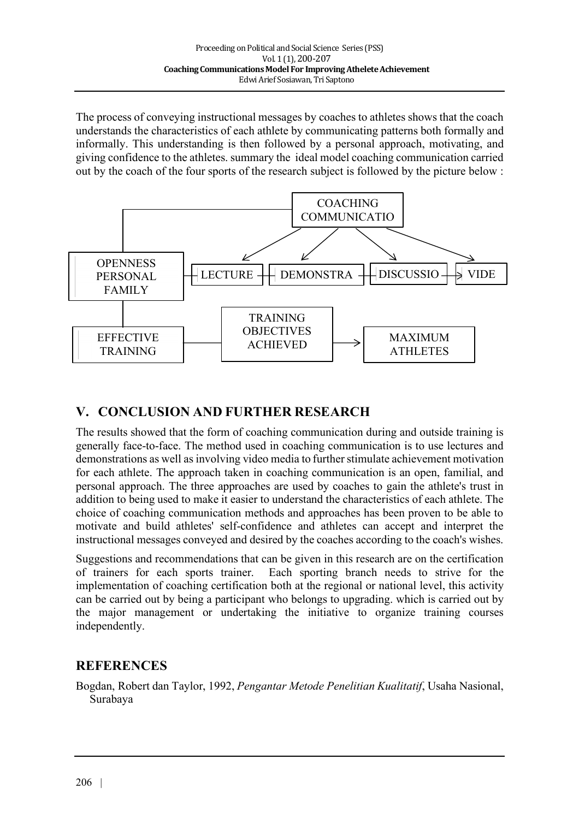The process of conveying instructional messages by coaches to athletes shows that the coach understands the characteristics of each athlete by communicating patterns both formally and informally. This understanding is then followed by a personal approach, motivating, and giving confidence to the athletes. summary the ideal model coaching communication carried out by the coach of the four sports of the research subject is followed by the picture below :



# **V. CONCLUSION AND FURTHER RESEARCH**

The results showed that the form of coaching communication during and outside training is generally face-to-face. The method used in coaching communication is to use lectures and demonstrations as well as involving video media to further stimulate achievement motivation for each athlete. The approach taken in coaching communication is an open, familial, and personal approach. The three approaches are used by coaches to gain the athlete's trust in addition to being used to make it easier to understand the characteristics of each athlete. The choice of coaching communication methods and approaches has been proven to be able to motivate and build athletes' self-confidence and athletes can accept and interpret the instructional messages conveyed and desired by the coaches according to the coach's wishes.

Suggestions and recommendations that can be given in this research are on the certification of trainers for each sports trainer. Each sporting branch needs to strive for the implementation of coaching certification both at the regional or national level, this activity can be carried out by being a participant who belongs to upgrading. which is carried out by the major management or undertaking the initiative to organize training courses independently.

### **REFERENCES**

Bogdan, Robert dan Taylor, 1992, *Pengantar Metode Penelitian Kualitatif*, Usaha Nasional, Surabaya